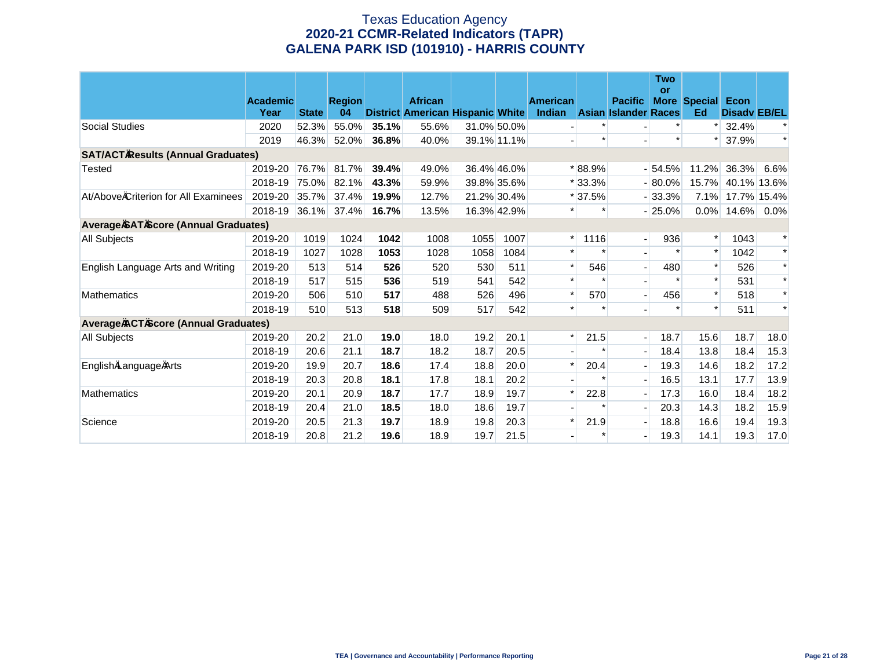# Texas Education Agency **2020-21 CCMR-Related Indicators (TAPR) GALENA PARK ISD (101910) - HARRIS COUNTY**

|                                             |                 |              |               |       |                                         |      |             |                 |          |                             | <b>Two</b><br><b>or</b> |                     |                     |         |
|---------------------------------------------|-----------------|--------------|---------------|-------|-----------------------------------------|------|-------------|-----------------|----------|-----------------------------|-------------------------|---------------------|---------------------|---------|
|                                             | <b>Academic</b> |              | <b>Region</b> |       | <b>African</b>                          |      |             | <b>American</b> |          | <b>Pacific</b>              |                         | <b>More Special</b> | Econ                |         |
|                                             | Year            | <b>State</b> | 04            |       | <b>District American Hispanic White</b> |      |             | Indian          |          | <b>Asian Islander Races</b> |                         | Ed                  | <b>Disady EB/EL</b> |         |
| Social Studies                              | 2020            | 52.3%        | 55.0%         | 35.1% | 55.6%                                   |      | 31.0% 50.0% |                 |          |                             |                         | $\ast$              | 32.4%               | ∗       |
|                                             | 2019            | 46.3%        | 52.0%         | 36.8% | 40.0%                                   |      | 39.1% 11.1% |                 |          |                             | $\ast$                  | $\ast$              | 37.9%               | $\ast$  |
| <b>SAT/ACT Results (Annual Graduates)</b>   |                 |              |               |       |                                         |      |             |                 |          |                             |                         |                     |                     |         |
| Tested                                      | 2019-20         | 76.7%        | 81.7%         | 39.4% | 49.0%                                   |      | 36.4% 46.0% |                 | * 88.9%  |                             | $-54.5%$                | 11.2%               | 36.3%               | 6.6%    |
|                                             | 2018-19         | 75.0%        | 82.1%         | 43.3% | 59.9%                                   |      | 39.8% 35.6% |                 | $*33.3%$ |                             | $-80.0\%$               | 15.7%               | 40.1% 13.6%         |         |
| At/Above Criterion for All Examinees        | 2019-20         | 35.7%        | 37.4%         | 19.9% | 12.7%                                   |      | 21.2% 30.4% |                 | $*37.5%$ |                             | $-33.3%$                | 7.1%                | 17.7% 15.4%         |         |
|                                             | 2018-19         | 36.1%        | 37.4%         | 16.7% | 13.5%                                   |      | 16.3% 42.9% |                 | $\ast$   |                             | $-25.0%$                | $0.0\%$             | 14.6%               | $0.0\%$ |
| <b>Average SAT Score (Annual Graduates)</b> |                 |              |               |       |                                         |      |             |                 |          |                             |                         |                     |                     |         |
| <b>All Subjects</b>                         | 2019-20         | 1019         | 1024          | 1042  | 1008                                    | 1055 | 1007        | $\ast$          | 1116     | $\overline{\phantom{a}}$    | 936                     | $\ast$              | 1043                | $\ast$  |
|                                             | 2018-19         | 1027         | 1028          | 1053  | 1028                                    | 1058 | 1084        | $\ast$          | $\star$  |                             | $\ast$                  | $\ast$              | 1042                | $\ast$  |
| English Language Arts and Writing           | 2019-20         | 513          | 514           | 526   | 520                                     | 530  | 511         | $\ast$          | 546      | $\overline{a}$              | 480                     | $\ast$              | 526                 | $\ast$  |
|                                             | 2018-19         | 517          | 515           | 536   | 519                                     | 541  | 542         | $\star$         | $\star$  | $\overline{\phantom{a}}$    | $\star$                 | $\ast$              | 531                 | $\ast$  |
| <b>Mathematics</b>                          | 2019-20         | 506          | 510           | 517   | 488                                     | 526  | 496         |                 | 570      | $\overline{\phantom{a}}$    | 456                     | $\ast$              | 518                 | $\ast$  |
|                                             | 2018-19         | 510          | 513           | 518   | 509                                     | 517  | 542         |                 | $\ast$   |                             |                         | $\ast$              | 511                 | $\ast$  |
| <b>Average ACT Score (Annual Graduates)</b> |                 |              |               |       |                                         |      |             |                 |          |                             |                         |                     |                     |         |
| All Subjects                                | 2019-20         | 20.2         | 21.0          | 19.0  | 18.0                                    | 19.2 | 20.1        | $\ast$          | 21.5     | $\blacksquare$              | 18.7                    | 15.6                | 18.7                | 18.0    |
|                                             | 2018-19         | 20.6         | 21.1          | 18.7  | 18.2                                    | 18.7 | 20.5        |                 | $\ast$   | $\blacksquare$              | 18.4                    | 13.8                | 18.4                | 15.3    |
| English Language Arts                       | 2019-20         | 19.9         | 20.7          | 18.6  | 17.4                                    | 18.8 | 20.0        | $\ast$          | 20.4     | $\overline{\phantom{a}}$    | 19.3                    | 14.6                | 18.2                | 17.2    |
|                                             | 2018-19         | 20.3         | 20.8          | 18.1  | 17.8                                    | 18.1 | 20.2        |                 |          | $\blacksquare$              | 16.5                    | 13.1                | 17.7                | 13.9    |
| <b>Mathematics</b>                          | 2019-20         | 20.1         | 20.9          | 18.7  | 17.7                                    | 18.9 | 19.7        |                 | 22.8     | $\overline{\phantom{a}}$    | 17.3                    | 16.0                | 18.4                | 18.2    |
|                                             | 2018-19         | 20.4         | 21.0          | 18.5  | 18.0                                    | 18.6 | 19.7        |                 | $\ast$   | $\overline{\phantom{a}}$    | 20.3                    | 14.3                | 18.2                | 15.9    |
| Science                                     | 2019-20         | 20.5         | 21.3          | 19.7  | 18.9                                    | 19.8 | 20.3        | $\ast$          | 21.9     | $\overline{a}$              | 18.8                    | 16.6                | 19.4                | 19.3    |
|                                             | 2018-19         | 20.8         | 21.2          | 19.6  | 18.9                                    | 19.7 | 21.5        |                 | $\ast$   | $\blacksquare$              | 19.3                    | 14.1                | 19.3                | 17.0    |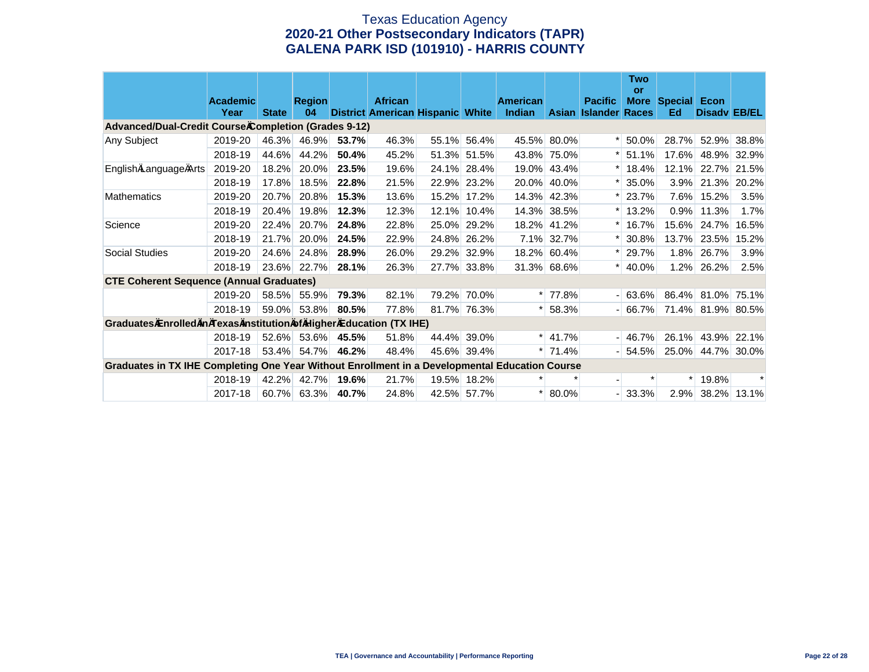# Texas Education Agency **2020-21 Other Postsecondary Indicators (TAPR) GALENA PARK ISD (101910) - HARRIS COUNTY**

|                                                                                                |                         |              |                     |       |                                                    |       |             |                           |             |                                               | Two<br>or |                                |                     |             |
|------------------------------------------------------------------------------------------------|-------------------------|--------------|---------------------|-------|----------------------------------------------------|-------|-------------|---------------------------|-------------|-----------------------------------------------|-----------|--------------------------------|---------------------|-------------|
|                                                                                                | <b>Academic</b><br>Year | <b>State</b> | <b>Region</b><br>04 |       | <b>African</b><br>District American Hispanic White |       |             | <b>American</b><br>Indian |             | <b>Pacific</b><br><b>Asian Islander Races</b> |           | <b>More Special Econ</b><br>Ed | <b>Disady EB/EL</b> |             |
| Advanced/Dual-Credit Course Completion (Grades 9-12)                                           |                         |              |                     |       |                                                    |       |             |                           |             |                                               |           |                                |                     |             |
| Any Subject                                                                                    | 2019-20                 | 46.3%        | 46.9%               | 53.7% | 46.3%                                              |       | 55.1% 56.4% |                           | 45.5% 80.0% |                                               | 50.0%     | 28.7%                          | 52.9%               | 38.8%       |
|                                                                                                | 2018-19                 | 44.6%        | 44.2%               | 50.4% | 45.2%                                              |       | 51.3% 51.5% |                           | 43.8% 75.0% |                                               | 51.1%     | 17.6%                          |                     | 48.9% 32.9% |
| English Language Arts                                                                          | 2019-20                 | 18.2%        | 20.0%               | 23.5% | 19.6%                                              | 24.1% | 28.4%       | 19.0%                     | 43.4%       |                                               | 18.4%     | 12.1%                          | 22.7%               | 21.5%       |
|                                                                                                | 2018-19                 | 17.8%        | 18.5%               | 22.8% | 21.5%                                              | 22.9% | 23.2%       | 20.0%                     | 40.0%       |                                               | 35.0%     | 3.9%                           |                     | 21.3% 20.2% |
| <b>Mathematics</b>                                                                             | 2019-20                 | 20.7%        | 20.8%               | 15.3% | 13.6%                                              | 15.2% | 17.2%       | 14.3%                     | 42.3%       |                                               | 23.7%     | 7.6%                           | 15.2%               | 3.5%        |
|                                                                                                | 2018-19                 | 20.4%        | 19.8%               | 12.3% | 12.3%                                              | 12.1% | 10.4%       | 14.3%                     | 38.5%       |                                               | 13.2%     | 0.9%                           | 11.3%               | 1.7%        |
| Science                                                                                        | 2019-20                 | 22.4%        | 20.7%               | 24.8% | 22.8%                                              |       | 25.0% 29.2% | 18.2%                     | 41.2%       |                                               | 16.7%     | 15.6%                          | 24.7%               | 16.5%       |
|                                                                                                | 2018-19                 | 21.7%        | 20.0%               | 24.5% | 22.9%                                              |       | 24.8% 26.2% |                           | 7.1% 32.7%  |                                               | 30.8%     | 13.7%                          | 23.5%               | 15.2%       |
| Social Studies                                                                                 | 2019-20                 | 24.6%        | 24.8%               | 28.9% | 26.0%                                              |       | 29.2% 32.9% |                           | 18.2% 60.4% |                                               | 29.7%     | 1.8%                           | 26.7%               | 3.9%        |
|                                                                                                | 2018-19                 | 23.6%        | 22.7%               | 28.1% | 26.3%                                              |       | 27.7% 33.8% |                           | 31.3% 68.6% |                                               | 40.0%     | 1.2%                           | 26.2%               | 2.5%        |
| <b>CTE Coherent Sequence (Annual Graduates)</b>                                                |                         |              |                     |       |                                                    |       |             |                           |             |                                               |           |                                |                     |             |
|                                                                                                | 2019-20                 | 58.5%        | 55.9%               | 79.3% | 82.1%                                              |       | 79.2% 70.0% |                           | $* 77.8%$   |                                               | $-163.6%$ |                                | 86.4% 81.0% 75.1%   |             |
|                                                                                                | 2018-19                 | 59.0%        | 53.8%               | 80.5% | 77.8%                                              |       | 81.7% 76.3% |                           | $*$ 58.3%   |                                               | $-166.7%$ | 71.4%                          |                     | 81.9% 80.5% |
| Graduates Enrolled in Texas Institution of Higher Education (TX IHE)                           |                         |              |                     |       |                                                    |       |             |                           |             |                                               |           |                                |                     |             |
|                                                                                                | 2018-19                 | 52.6%        | 53.6%               | 45.5% | 51.8%                                              |       | 44.4% 39.0% |                           | $*$ 41.7%   |                                               | $-146.7%$ | 26.1%                          |                     | 43.9% 22.1% |
|                                                                                                | 2017-18                 | 53.4%        | 54.7%               | 46.2% | 48.4%                                              |       | 45.6% 39.4% |                           | $*$ 71.4%   |                                               | $-154.5%$ | $25.0\%$                       | 44.7% 30.0%         |             |
| Graduates in TX IHE Completing One Year Without Enrollment in a Developmental Education Course |                         |              |                     |       |                                                    |       |             |                           |             |                                               |           |                                |                     |             |
|                                                                                                | 2018-19                 | 42.2%        | 42.7%               | 19.6% | 21.7%                                              |       | 19.5% 18.2% | $\ast$                    |             |                                               |           | $\ast$                         | 19.8%               |             |
|                                                                                                | 2017-18                 |              | 60.7% 63.3%         | 40.7% | 24.8%                                              |       | 42.5% 57.7% | $\ast$                    | 80.0%       |                                               | $-133.3%$ | 2.9%                           |                     | 38.2% 13.1% |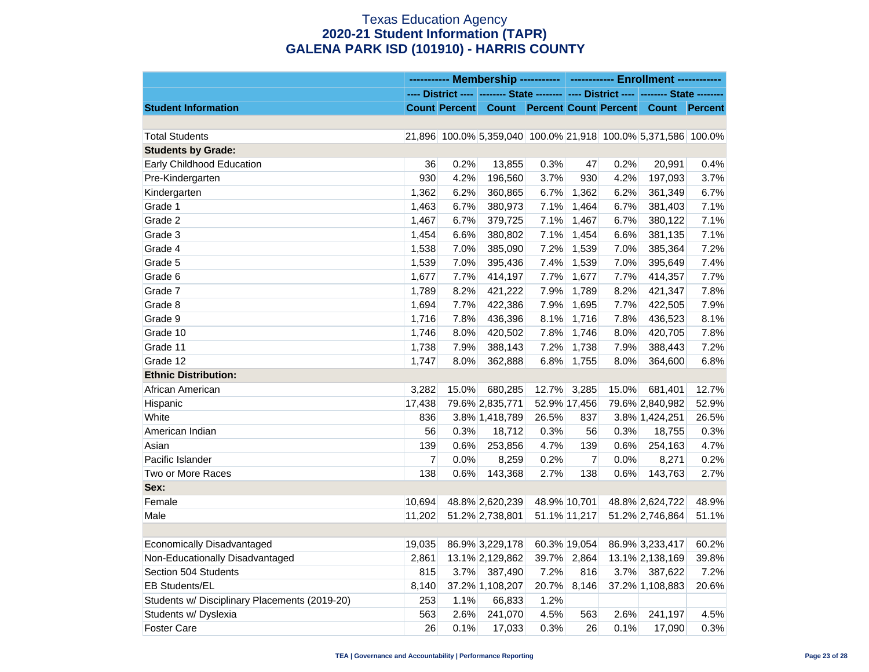# Texas Education Agency **2020-21 Student Information (TAPR) GALENA PARK ISD (101910) - HARRIS COUNTY**

|                                               |        | ----------- Membership ----------- ------------ Enrollment ------------ |                 |       |                |       |                                                                                       |       |
|-----------------------------------------------|--------|-------------------------------------------------------------------------|-----------------|-------|----------------|-------|---------------------------------------------------------------------------------------|-------|
|                                               |        |                                                                         |                 |       |                |       | ---- District ---- -------- State -------- ---- District ---- -------- State -------- |       |
| <b>Student Information</b>                    |        |                                                                         |                 |       |                |       | Count Percent Count Percent Count Percent Count Percent                               |       |
|                                               |        |                                                                         |                 |       |                |       |                                                                                       |       |
| <b>Total Students</b>                         |        |                                                                         |                 |       |                |       | 21,896 100.0% 5,359,040 100.0% 21,918 100.0% 5,371,586 100.0%                         |       |
| <b>Students by Grade:</b>                     |        |                                                                         |                 |       |                |       |                                                                                       |       |
| Early Childhood Education                     | 36     | 0.2%                                                                    | 13,855          | 0.3%  | 47             | 0.2%  | 20,991                                                                                | 0.4%  |
| Pre-Kindergarten                              | 930    | 4.2%                                                                    | 196,560         | 3.7%  | 930            | 4.2%  | 197,093                                                                               | 3.7%  |
| Kindergarten                                  | 1,362  | 6.2%                                                                    | 360,865         | 6.7%  | 1,362          | 6.2%  | 361,349                                                                               | 6.7%  |
| Grade 1                                       | 1,463  | 6.7%                                                                    | 380,973         | 7.1%  | 1,464          | 6.7%  | 381,403                                                                               | 7.1%  |
| Grade 2                                       | 1,467  | 6.7%                                                                    | 379,725         | 7.1%  | 1,467          | 6.7%  | 380,122                                                                               | 7.1%  |
| Grade 3                                       | 1,454  | 6.6%                                                                    | 380,802         | 7.1%  | 1,454          | 6.6%  | 381,135                                                                               | 7.1%  |
| Grade 4                                       | 1,538  | 7.0%                                                                    | 385,090         | 7.2%  | 1,539          | 7.0%  | 385,364                                                                               | 7.2%  |
| Grade 5                                       | 1,539  | 7.0%                                                                    | 395,436         | 7.4%  | 1,539          | 7.0%  | 395,649                                                                               | 7.4%  |
| Grade 6                                       | 1,677  | 7.7%                                                                    | 414,197         | 7.7%  | 1,677          | 7.7%  | 414,357                                                                               | 7.7%  |
| Grade 7                                       | 1,789  | 8.2%                                                                    | 421,222         | 7.9%  | 1,789          | 8.2%  | 421,347                                                                               | 7.8%  |
| Grade 8                                       | 1,694  | 7.7%                                                                    | 422,386         | 7.9%  | 1,695          | 7.7%  | 422,505                                                                               | 7.9%  |
| Grade 9                                       | 1,716  | 7.8%                                                                    | 436,396         | 8.1%  | 1,716          | 7.8%  | 436,523                                                                               | 8.1%  |
| Grade 10                                      | 1,746  | 8.0%                                                                    | 420,502         | 7.8%  | 1,746          | 8.0%  | 420,705                                                                               | 7.8%  |
| Grade 11                                      | 1,738  | 7.9%                                                                    | 388,143         | 7.2%  | 1,738          | 7.9%  | 388,443                                                                               | 7.2%  |
| Grade 12                                      | 1,747  | 8.0%                                                                    | 362,888         | 6.8%  | 1,755          | 8.0%  | 364,600                                                                               | 6.8%  |
| <b>Ethnic Distribution:</b>                   |        |                                                                         |                 |       |                |       |                                                                                       |       |
| African American                              | 3,282  | 15.0%                                                                   | 680,285         | 12.7% | 3,285          | 15.0% | 681,401                                                                               | 12.7% |
| Hispanic                                      | 17,438 |                                                                         | 79.6% 2,835,771 |       | 52.9% 17,456   |       | 79.6% 2,840,982                                                                       | 52.9% |
| White                                         | 836    |                                                                         | 3.8% 1,418,789  | 26.5% | 837            |       | 3.8% 1,424,251                                                                        | 26.5% |
| American Indian                               | 56     | 0.3%                                                                    | 18,712          | 0.3%  | 56             | 0.3%  | 18,755                                                                                | 0.3%  |
| Asian                                         | 139    | 0.6%                                                                    | 253,856         | 4.7%  | 139            | 0.6%  | 254,163                                                                               | 4.7%  |
| Pacific Islander                              | 7      | 0.0%                                                                    | 8,259           | 0.2%  | $\overline{7}$ | 0.0%  | 8,271                                                                                 | 0.2%  |
| Two or More Races                             | 138    | 0.6%                                                                    | 143,368         | 2.7%  | 138            | 0.6%  | 143,763                                                                               | 2.7%  |
| Sex:                                          |        |                                                                         |                 |       |                |       |                                                                                       |       |
| Female                                        | 10,694 |                                                                         | 48.8% 2,620,239 |       | 48.9% 10,701   |       | 48.8% 2,624,722                                                                       | 48.9% |
| Male                                          | 11,202 |                                                                         | 51.2% 2,738,801 |       | 51.1% 11,217   |       | 51.2% 2,746,864                                                                       | 51.1% |
|                                               |        |                                                                         |                 |       |                |       |                                                                                       |       |
| Economically Disadvantaged                    | 19,035 |                                                                         | 86.9% 3,229,178 |       | 60.3% 19,054   |       | 86.9% 3,233,417                                                                       | 60.2% |
| Non-Educationally Disadvantaged               | 2,861  |                                                                         | 13.1% 2,129,862 | 39.7% | 2,864          |       | 13.1% 2,138,169                                                                       | 39.8% |
| Section 504 Students                          | 815    | 3.7%                                                                    | 387,490         | 7.2%  | 816            | 3.7%  | 387,622                                                                               | 7.2%  |
| EB Students/EL                                | 8,140  |                                                                         | 37.2% 1,108,207 | 20.7% | 8,146          |       | 37.2% 1,108,883                                                                       | 20.6% |
| Students w/ Disciplinary Placements (2019-20) | 253    | 1.1%                                                                    | 66,833          | 1.2%  |                |       |                                                                                       |       |
| Students w/ Dyslexia                          | 563    | 2.6%                                                                    | 241,070         | 4.5%  | 563            | 2.6%  | 241,197                                                                               | 4.5%  |
| <b>Foster Care</b>                            | 26     | 0.1%                                                                    | 17,033          | 0.3%  | 26             | 0.1%  | 17,090                                                                                | 0.3%  |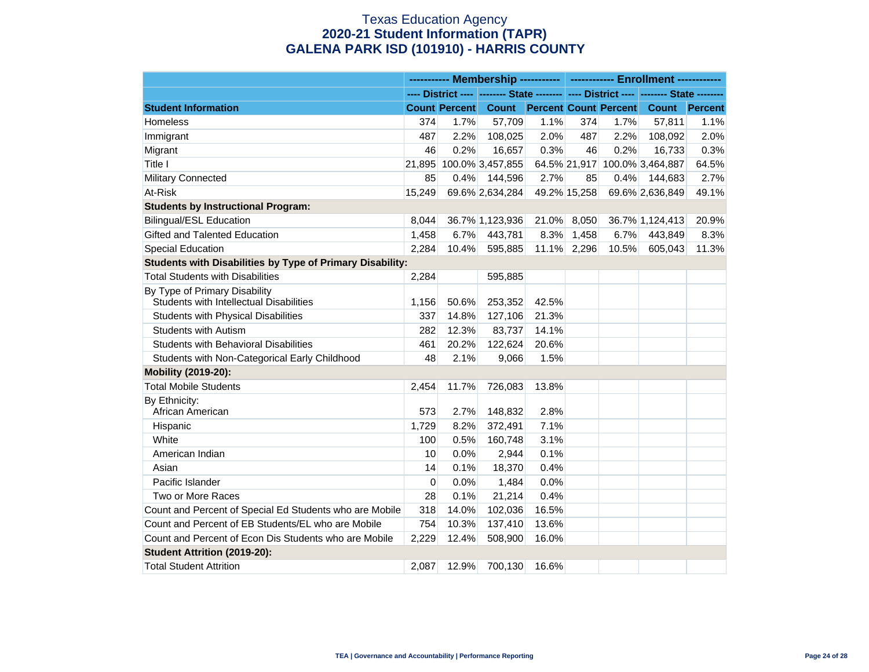# Texas Education Agency **2020-21 Student Information (TAPR) GALENA PARK ISD (101910) - HARRIS COUNTY**

|                                                           | ---------- Membership -----------   ------------ Enrollment ------------ |                      |                                    |       |              |       |                                                                                                          |       |
|-----------------------------------------------------------|--------------------------------------------------------------------------|----------------------|------------------------------------|-------|--------------|-------|----------------------------------------------------------------------------------------------------------|-------|
|                                                           |                                                                          |                      |                                    |       |              |       | ---- District ----    -------- State    --------    ----    District ----     -------- State    -------- |       |
| <b>Student Information</b>                                |                                                                          | <b>Count Percent</b> | <b>Count Percent Count Percent</b> |       |              |       | <b>Count</b> Percent                                                                                     |       |
| Homeless                                                  | 374                                                                      | 1.7%                 | 57,709                             | 1.1%  | 374          | 1.7%  | 57,811                                                                                                   | 1.1%  |
| Immigrant                                                 | 487                                                                      | 2.2%                 | 108,025                            | 2.0%  | 487          | 2.2%  | 108,092                                                                                                  | 2.0%  |
| Migrant                                                   | 46                                                                       | 0.2%                 | 16,657                             | 0.3%  | 46           | 0.2%  | 16,733                                                                                                   | 0.3%  |
| Title I                                                   |                                                                          |                      | 21,895 100.0% 3,457,855            |       |              |       | 64.5% 21,917 100.0% 3,464,887                                                                            | 64.5% |
| Military Connected                                        | 85                                                                       | 0.4%                 | 144,596                            | 2.7%  | 85           | 0.4%  | 144,683                                                                                                  | 2.7%  |
| At-Risk                                                   | 15.249                                                                   |                      | 69.6% 2,634,284                    |       | 49.2% 15,258 |       | 69.6% 2,636,849                                                                                          | 49.1% |
| <b>Students by Instructional Program:</b>                 |                                                                          |                      |                                    |       |              |       |                                                                                                          |       |
| <b>Bilingual/ESL Education</b>                            | 8,044                                                                    |                      | 36.7% 1,123,936                    | 21.0% | 8,050        |       | 36.7% 1,124,413                                                                                          | 20.9% |
| Gifted and Talented Education                             | 1,458                                                                    | 6.7%                 | 443,781                            | 8.3%  | 1,458        | 6.7%  | 443,849                                                                                                  | 8.3%  |
| <b>Special Education</b>                                  | 2,284                                                                    | 10.4%                | 595,885                            |       | 11.1% 2,296  | 10.5% | 605,043                                                                                                  | 11.3% |
| Students with Disabilities by Type of Primary Disability: |                                                                          |                      |                                    |       |              |       |                                                                                                          |       |
| <b>Total Students with Disabilities</b>                   | 2,284                                                                    |                      | 595,885                            |       |              |       |                                                                                                          |       |
| By Type of Primary Disability                             |                                                                          |                      |                                    |       |              |       |                                                                                                          |       |
| Students with Intellectual Disabilities                   | 1,156                                                                    | 50.6%                | 253,352                            | 42.5% |              |       |                                                                                                          |       |
| Students with Physical Disabilities                       | 337                                                                      | 14.8%                | 127,106                            | 21.3% |              |       |                                                                                                          |       |
| <b>Students with Autism</b>                               | 282                                                                      | 12.3%                | 83,737                             | 14.1% |              |       |                                                                                                          |       |
| Students with Behavioral Disabilities                     | 461                                                                      | 20.2%                | 122,624                            | 20.6% |              |       |                                                                                                          |       |
| Students with Non-Categorical Early Childhood             | 48                                                                       | 2.1%                 | 9,066                              | 1.5%  |              |       |                                                                                                          |       |
| Mobility (2019-20):                                       |                                                                          |                      |                                    |       |              |       |                                                                                                          |       |
| <b>Total Mobile Students</b>                              | 2,454                                                                    | 11.7%                | 726,083                            | 13.8% |              |       |                                                                                                          |       |
| By Ethnicity:                                             |                                                                          |                      |                                    |       |              |       |                                                                                                          |       |
| African American                                          | 573                                                                      | 2.7%                 | 148,832                            | 2.8%  |              |       |                                                                                                          |       |
| Hispanic                                                  | 1,729                                                                    | 8.2%                 | 372,491                            | 7.1%  |              |       |                                                                                                          |       |
| White                                                     | 100                                                                      | 0.5%                 | 160,748                            | 3.1%  |              |       |                                                                                                          |       |
| American Indian                                           | 10                                                                       | 0.0%                 | 2,944                              | 0.1%  |              |       |                                                                                                          |       |
| Asian                                                     | 14                                                                       | 0.1%                 | 18,370                             | 0.4%  |              |       |                                                                                                          |       |
| Pacific Islander                                          | $\Omega$                                                                 | 0.0%                 | 1,484                              | 0.0%  |              |       |                                                                                                          |       |
| Two or More Races                                         | 28                                                                       | 0.1%                 | 21,214                             | 0.4%  |              |       |                                                                                                          |       |
| Count and Percent of Special Ed Students who are Mobile   | 318                                                                      | 14.0%                | 102,036                            | 16.5% |              |       |                                                                                                          |       |
| Count and Percent of EB Students/EL who are Mobile        | 754                                                                      | 10.3%                | 137,410                            | 13.6% |              |       |                                                                                                          |       |
| Count and Percent of Econ Dis Students who are Mobile     | 2,229                                                                    | 12.4%                | 508,900                            | 16.0% |              |       |                                                                                                          |       |
| <b>Student Attrition (2019-20):</b>                       |                                                                          |                      |                                    |       |              |       |                                                                                                          |       |
| <b>Total Student Attrition</b>                            | 2,087                                                                    | 12.9%                | 700,130                            | 16.6% |              |       |                                                                                                          |       |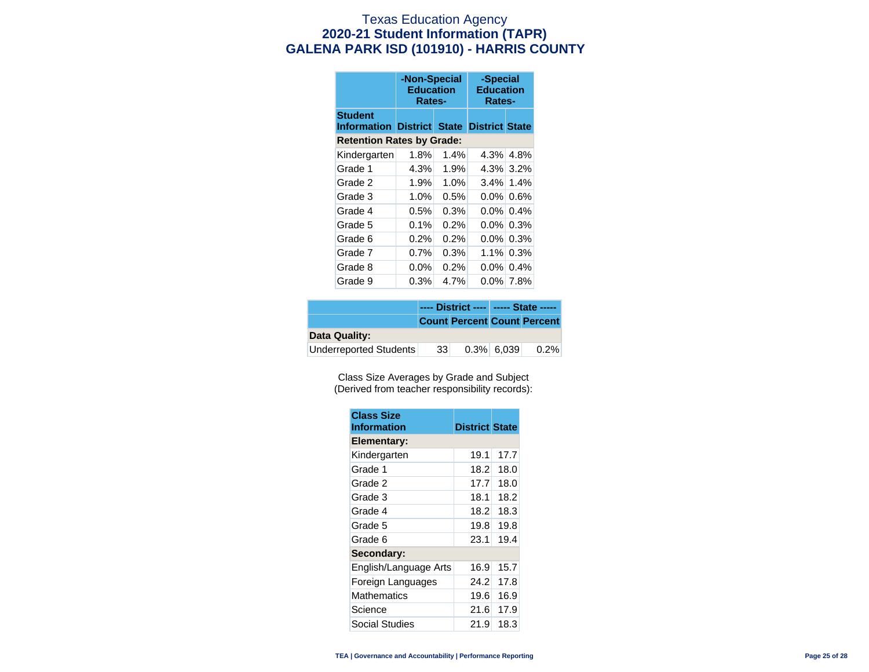### Texas Education Agency **2020-21 Student Information (TAPR) GALENA PARK ISD (101910) - HARRIS COUNTY**

|                                  | -Non-Special<br><b>Education</b><br>Rates-       |         | -Special<br><b>Education</b><br>Rates- |         |  |  |  |  |
|----------------------------------|--------------------------------------------------|---------|----------------------------------------|---------|--|--|--|--|
| <b>Student</b>                   | <b>Information District State District State</b> |         |                                        |         |  |  |  |  |
| <b>Retention Rates by Grade:</b> |                                                  |         |                                        |         |  |  |  |  |
| Kindergarten                     | 1.8%                                             | 1.4%    | 4.3%                                   | 4.8%    |  |  |  |  |
| Grade 1                          | 4.3%                                             | 1.9%    | 4.3%                                   | 3.2%    |  |  |  |  |
| Grade 2                          | 1.9%                                             | 1.0%    | $3.4\%$                                | 1.4%    |  |  |  |  |
| Grade 3                          | $1.0\%$                                          | 0.5%    | $0.0\%$                                | 0.6%    |  |  |  |  |
| Grade 4                          | $0.5\%$                                          | 0.3%    | $0.0\%$                                | $0.4\%$ |  |  |  |  |
| Grade 5                          | $0.1\%$                                          | $0.2\%$ | $0.0\%$                                | $0.3\%$ |  |  |  |  |
| Grade 6                          | $0.2\%$                                          | $0.2\%$ | $0.0\%$                                | 0.3%    |  |  |  |  |
| Grade 7                          | $0.7\%$                                          | 0.3%    | $1.1\%$                                | 0.3%    |  |  |  |  |
| Grade 8                          | $0.0\%$                                          | 0.2%    | $0.0\%$                                | $0.4\%$ |  |  |  |  |
| Grade 9                          | 0.3%                                             | 4.7%    | $0.0\%$                                | 7.8%    |  |  |  |  |

|                        |       | ---- District ----   ----- State ----- |               |                                    |
|------------------------|-------|----------------------------------------|---------------|------------------------------------|
|                        |       |                                        |               | <b>Count Percent Count Percent</b> |
| Data Quality:          |       |                                        |               |                                    |
| Underreported Students | -33 I |                                        | $0.3\%$ 6.039 | $0.2\%$                            |

Class Size Averages by Grade and Subject (Derived from teacher responsibility records):

| <b>Class Size</b><br><b>Information</b> | <b>District State</b> |      |
|-----------------------------------------|-----------------------|------|
| Elementary:                             |                       |      |
| Kindergarten                            | 19.1                  | 17.7 |
| Grade 1                                 | 18.2                  | 18.0 |
| Grade 2                                 | 17.7                  | 18.0 |
| Grade 3                                 | 18.1                  | 18.2 |
| Grade 4                                 | 18.2                  | 18.3 |
| Grade 5                                 | 19.8                  | 19.8 |
| Grade 6                                 | 23.1                  | 19.4 |
| Secondary:                              |                       |      |
| English/Language Arts                   | 16.9                  | 15.7 |
| Foreign Languages                       | 24.2                  | 17.8 |
| <b>Mathematics</b>                      | 19.6                  | 16.9 |
| Science                                 | 21.6                  | 17.9 |
| Social Studies                          | 21.9                  | 18.3 |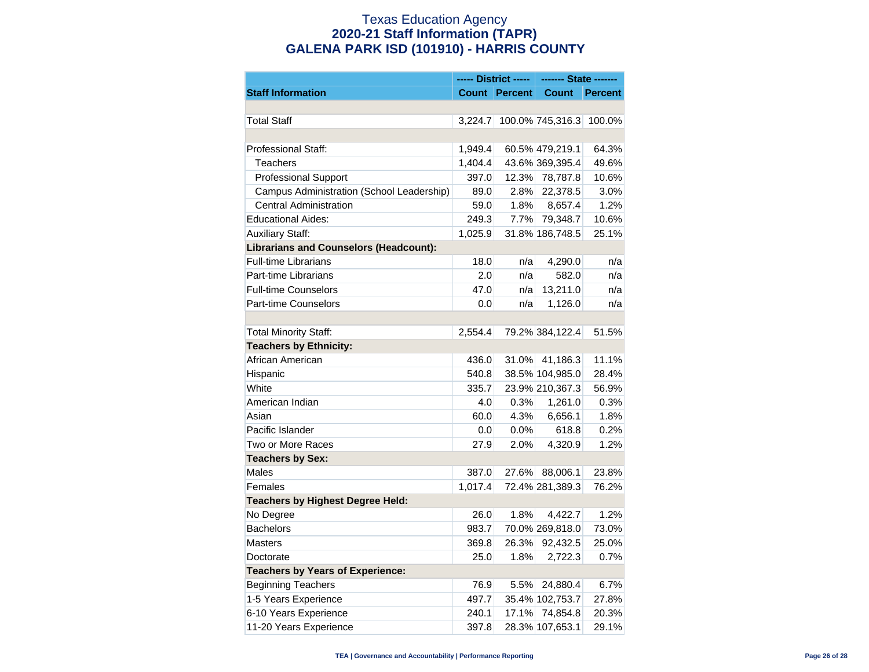## Texas Education Agency **2020-21 Staff Information (TAPR) GALENA PARK ISD (101910) - HARRIS COUNTY**

|                                               |         |                      | ------- State ------- |                |  |
|-----------------------------------------------|---------|----------------------|-----------------------|----------------|--|
| <b>Staff Information</b>                      |         | <b>Count Percent</b> | Count                 | <b>Percent</b> |  |
|                                               |         |                      |                       |                |  |
| <b>Total Staff</b>                            | 3.224.7 |                      | 100.0% 745,316.3      | 100.0%         |  |
|                                               |         |                      |                       |                |  |
| Professional Staff:                           | 1,949.4 |                      | 60.5% 479,219.1       | 64.3%          |  |
| <b>Teachers</b>                               | 1,404.4 |                      | 43.6% 369,395.4       | 49.6%          |  |
| <b>Professional Support</b>                   | 397.0   | 12.3%                | 78,787.8              | 10.6%          |  |
| Campus Administration (School Leadership)     | 89.0    | 2.8%                 | 22,378.5              | 3.0%           |  |
| Central Administration                        | 59.0    | 1.8%                 | 8,657.4               | 1.2%           |  |
| <b>Educational Aides:</b>                     | 249.3   | 7.7%                 | 79,348.7              | 10.6%          |  |
| <b>Auxiliary Staff:</b>                       | 1,025.9 |                      | 31.8% 186,748.5       | 25.1%          |  |
| <b>Librarians and Counselors (Headcount):</b> |         |                      |                       |                |  |
| Full-time Librarians                          | 18.0    | n/a                  | 4,290.0               | n/a            |  |
| Part-time Librarians                          | 2.0     | n/a                  | 582.0                 | n/a            |  |
| <b>Full-time Counselors</b>                   | 47.0    | n/a                  | 13,211.0              | n/a            |  |
| Part-time Counselors                          | 0.0     | n/a                  | 1,126.0               | n/a            |  |
|                                               |         |                      |                       |                |  |
| <b>Total Minority Staff:</b>                  | 2,554.4 |                      | 79.2% 384,122.4       | 51.5%          |  |
| <b>Teachers by Ethnicity:</b>                 |         |                      |                       |                |  |
| African American                              | 436.0   | 31.0%                | 41,186.3              | 11.1%          |  |
| Hispanic                                      | 540.8   |                      | 38.5% 104,985.0       | 28.4%          |  |
| White                                         | 335.7   |                      | 23.9% 210,367.3       | 56.9%          |  |
| American Indian                               | 4.0     | 0.3%                 | 1,261.0               | 0.3%           |  |
| Asian                                         | 60.0    | 4.3%                 | 6,656.1               | 1.8%           |  |
| Pacific Islander                              | 0.0     | 0.0%                 | 618.8                 | 0.2%           |  |
| Two or More Races                             | 27.9    | 2.0%                 | 4,320.9               | 1.2%           |  |
| <b>Teachers by Sex:</b>                       |         |                      |                       |                |  |
| Males                                         | 387.0   | 27.6%                | 88,006.1              | 23.8%          |  |
| Females                                       | 1,017.4 |                      | 72.4% 281,389.3       | 76.2%          |  |
| <b>Teachers by Highest Degree Held:</b>       |         |                      |                       |                |  |
| No Degree                                     | 26.0    | 1.8%                 | 4,422.7               | 1.2%           |  |
| <b>Bachelors</b>                              | 983.7   |                      | 70.0% 269,818.0       | 73.0%          |  |
| <b>Masters</b>                                | 369.8   | 26.3%                | 92,432.5              | 25.0%          |  |
| Doctorate                                     | 25.0    | 1.8%                 | 2,722.3               | 0.7%           |  |
| <b>Teachers by Years of Experience:</b>       |         |                      |                       |                |  |
| <b>Beginning Teachers</b>                     | 76.9    | 5.5%                 | 24,880.4              | 6.7%           |  |
| 1-5 Years Experience                          | 497.7   |                      | 35.4% 102,753.7       | 27.8%          |  |
| 6-10 Years Experience                         | 240.1   | 17.1%                | 74,854.8              | 20.3%          |  |
| 11-20 Years Experience                        | 397.8   |                      | 28.3% 107,653.1       | 29.1%          |  |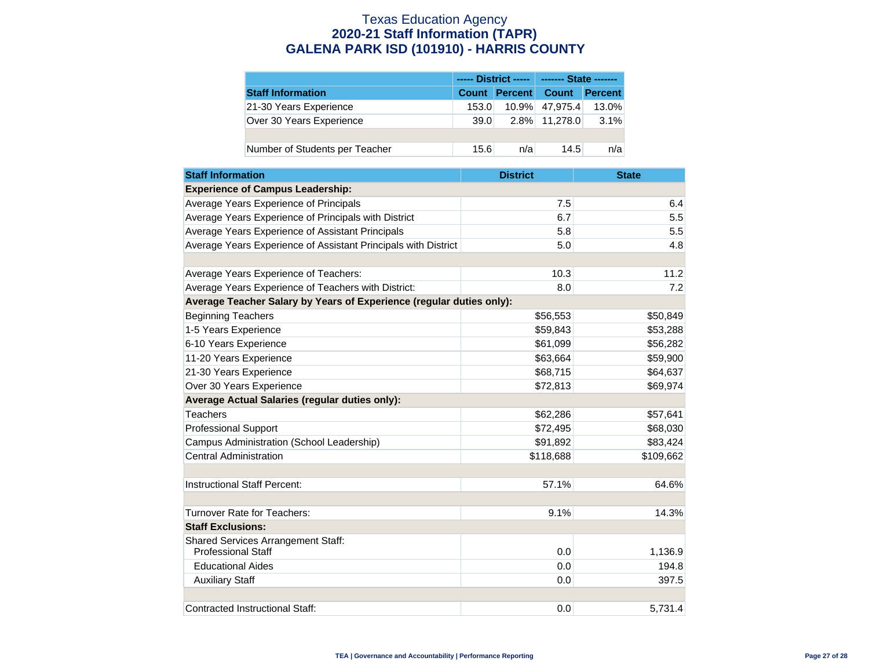# Texas Education Agency **2020-21 Staff Information (TAPR) GALENA PARK ISD (101910) - HARRIS COUNTY**

|                                |       |     | ------ District -----   ------- State ------- |         |
|--------------------------------|-------|-----|-----------------------------------------------|---------|
| <b>Staff Information</b>       |       |     | <b>Count Percent Count</b>                    | Percent |
| 21-30 Years Experience         | 153.0 |     | 10.9% 47.975.4                                | 13.0%   |
| Over 30 Years Experience       | 39.0  |     | 2.8% 11.278.0                                 | 3.1%    |
|                                |       |     |                                               |         |
| Number of Students per Teacher | 15.6  | n/a | 14.5                                          | n/a     |

| <b>Staff Information</b>                                             | <b>District</b> | <b>State</b> |
|----------------------------------------------------------------------|-----------------|--------------|
| <b>Experience of Campus Leadership:</b>                              |                 |              |
| Average Years Experience of Principals                               | 7.5             | 6.4          |
| Average Years Experience of Principals with District                 | 6.7             | 5.5          |
| Average Years Experience of Assistant Principals                     | 5.8             | 5.5          |
| Average Years Experience of Assistant Principals with District       | 5.0             | 4.8          |
|                                                                      |                 |              |
| Average Years Experience of Teachers:                                | 10.3            | 11.2         |
| Average Years Experience of Teachers with District:                  | 8.0             | 7.2          |
| Average Teacher Salary by Years of Experience (regular duties only): |                 |              |
| <b>Beginning Teachers</b>                                            | \$56,553        | \$50,849     |
| 1-5 Years Experience                                                 | \$59,843        | \$53,288     |
| 6-10 Years Experience                                                | \$61,099        | \$56,282     |
| 11-20 Years Experience                                               | \$63,664        | \$59,900     |
| 21-30 Years Experience                                               | \$68,715        | \$64,637     |
| Over 30 Years Experience                                             | \$72,813        | \$69,974     |
| Average Actual Salaries (regular duties only):                       |                 |              |
| Teachers                                                             | \$62,286        | \$57,641     |
| <b>Professional Support</b>                                          | \$72,495        | \$68,030     |
| Campus Administration (School Leadership)                            | \$91,892        | \$83,424     |
| <b>Central Administration</b>                                        | \$118,688       | \$109,662    |
|                                                                      |                 |              |
| Instructional Staff Percent:                                         | 57.1%           | 64.6%        |
|                                                                      |                 |              |
| Turnover Rate for Teachers:                                          | 9.1%            | 14.3%        |
| <b>Staff Exclusions:</b>                                             |                 |              |
| Shared Services Arrangement Staff:<br><b>Professional Staff</b>      | 0.0             | 1,136.9      |
| <b>Educational Aides</b>                                             | 0.0             | 194.8        |
| <b>Auxiliary Staff</b>                                               | 0.0             | 397.5        |
|                                                                      |                 |              |
| Contracted Instructional Staff:                                      | 0.0             | 5.731.4      |